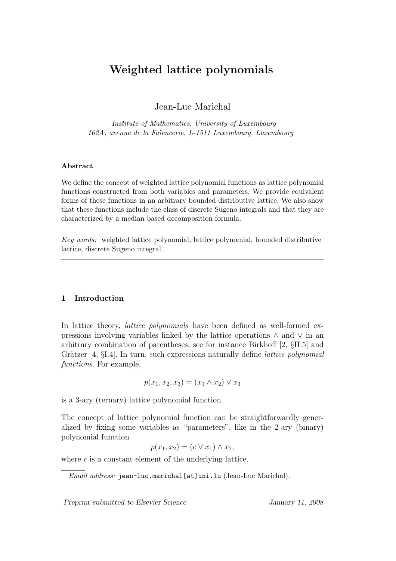# Weighted lattice polynomials

Jean-Luc Marichal

Institute of Mathematics, University of Luxembourg 162A, avenue de la Fa¨ıencerie, L-1511 Luxembourg, Luxembourg

## Abstract

We define the concept of weighted lattice polynomial functions as lattice polynomial functions constructed from both variables and parameters. We provide equivalent forms of these functions in an arbitrary bounded distributive lattice. We also show that these functions include the class of discrete Sugeno integrals and that they are characterized by a median based decomposition formula.

Key words: weighted lattice polynomial, lattice polynomial, bounded distributive lattice, discrete Sugeno integral.

# 1 Introduction

In lattice theory, *lattice polynomials* have been defined as well-formed expressions involving variables linked by the lattice operations ∧ and ∨ in an arbitrary combination of parentheses; see for instance Birkhoff [2, §II.5] and Grätzer  $[4, \S1.4]$ . In turn, such expressions naturally define *lattice polynomial* functions. For example,

$$
p(x_1, x_2, x_3) = (x_1 \wedge x_2) \vee x_3
$$

is a 3-ary (ternary) lattice polynomial function.

The concept of lattice polynomial function can be straightforwardly generalized by fixing some variables as "parameters", like in the 2-ary (binary) polynomial function

$$
p(x_1, x_2) = (c \vee x_1) \wedge x_2,
$$

where  $c$  is a constant element of the underlying lattice.

Preprint submitted to Elsevier Science January 11, 2008

Email address: jean-luc.marichal[at]uni.lu (Jean-Luc Marichal).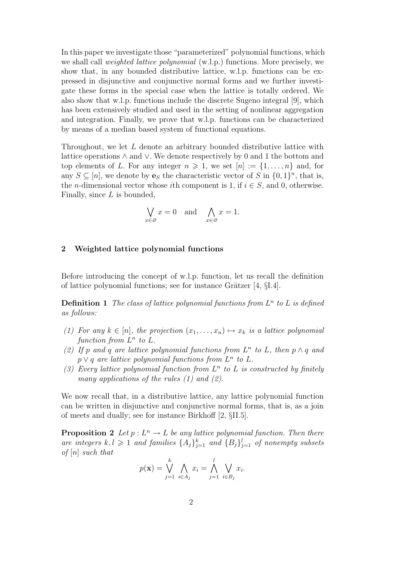In this paper we investigate those "parameterized" polynomial functions, which we shall call weighted lattice polynomial (w.l.p.) functions. More precisely, we show that, in any bounded distributive lattice, w.l.p. functions can be expressed in disjunctive and conjunctive normal forms and we further investigate these forms in the special case when the lattice is totally ordered. We also show that w.l.p. functions include the discrete Sugeno integral [9], which has been extensively studied and used in the setting of nonlinear aggregation and integration. Finally, we prove that w.l.p. functions can be characterized by means of a median based system of functional equations.

Throughout, we let L denote an arbitrary bounded distributive lattice with lattice operations ∧ and ∨. We denote respectively by 0 and 1 the bottom and top elements of L. For any integer  $n \geq 1$ , we set  $[n] := \{1, \ldots, n\}$  and, for any  $S \subseteq [n]$ , we denote by  $\mathbf{e}_S$  the characteristic vector of S in  $\{0, 1\}^n$ , that is, the *n*-dimensional vector whose *i*th component is 1, if  $i \in S$ , and 0, otherwise. Finally, since  $L$  is bounded,

$$
\bigvee_{x \in \varnothing} x = 0 \quad \text{and} \quad \bigwedge_{x \in \varnothing} x = 1.
$$

### 2 Weighted lattice polynomial functions

Before introducing the concept of w.l.p. function, let us recall the definition of lattice polynomial functions; see for instance Grätzer  $[4, \S1.4]$ .

**Definition 1** The class of lattice polynomial functions from  $L^n$  to L is defined as follows:

- (1) For any  $k \in [n]$ , the projection  $(x_1, \ldots, x_n) \mapsto x_k$  is a lattice polynomial function from  $L^n$  to  $L$ .
- (2) If p and q are lattice polynomial functions from  $L^n$  to L, then  $p \wedge q$  and  $p \vee q$  are lattice polynomial functions from  $L^n$  to  $L$ .
- (3) Every lattice polynomial function from  $L^n$  to L is constructed by finitely many applications of the rules  $(1)$  and  $(2)$ .

We now recall that, in a distributive lattice, any lattice polynomial function can be written in disjunctive and conjunctive normal forms, that is, as a join of meets and dually; see for instance Birkhoff [2, §II.5].

**Proposition 2** Let  $p: L^n \to L$  be any lattice polynomial function. Then there are integers  $k, l \geqslant 1$  and families  $\{A_j\}_{j=1}^k$  and  $\{B_j\}_{j=1}^l$  of nonempty subsets of  $[n]$  such that

$$
p(\mathbf{x}) = \bigvee_{j=1}^{k} \bigwedge_{i \in A_j} x_i = \bigwedge_{j=1}^{l} \bigvee_{i \in B_j} x_i.
$$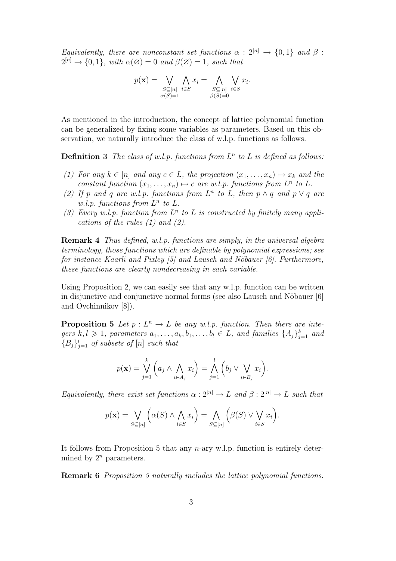Equivalently, there are nonconstant set functions  $\alpha : 2^{[n]} \rightarrow \{0,1\}$  and  $\beta$ :  $2^{[n]} \rightarrow \{0,1\}$ , with  $\alpha(\emptyset) = 0$  and  $\beta(\emptyset) = 1$ , such that

$$
p(\mathbf{x}) = \bigvee_{\substack{S \subseteq [n] \\ \alpha(S) = 1}} \bigwedge_{i \in S} x_i = \bigwedge_{\substack{S \subseteq [n] \\ \beta(S) = 0}} \bigvee_{i \in S} x_i.
$$

As mentioned in the introduction, the concept of lattice polynomial function can be generalized by fixing some variables as parameters. Based on this observation, we naturally introduce the class of w.l.p. functions as follows.

**Definition 3** The class of w.l.p. functions from  $L^n$  to L is defined as follows:

- (1) For any  $k \in [n]$  and any  $c \in L$ , the projection  $(x_1, \ldots, x_n) \mapsto x_k$  and the constant function  $(x_1, \ldots, x_n) \mapsto c$  are w.l.p. functions from  $L^n$  to L.
- (2) If p and q are w.l.p. functions from  $L^n$  to L, then  $p \wedge q$  and  $p \vee q$  are w.l.p. functions from  $L^n$  to  $L$ .
- (3) Every w.l.p. function from  $L^n$  to L is constructed by finitely many applications of the rules  $(1)$  and  $(2)$ .

Remark 4 Thus defined, w.l.p. functions are simply, in the universal algebra terminology, those functions which are definable by polynomial expressions; see for instance Kaarli and Pixley  $[5]$  and Lausch and Nöbauer  $[6]$ . Furthermore, these functions are clearly nondecreasing in each variable.

Using Proposition 2, we can easily see that any w.l.p. function can be written in disjunctive and conjunctive normal forms (see also Lausch and Nöbauer [6] and Ovchinnikov [8]).

**Proposition 5** Let  $p: L^n \to L$  be any w.l.p. function. Then there are integers  $k, l \geqslant 1$ , parameters  $a_1, \ldots, a_k, b_1, \ldots, b_l \in L$ , and families  $\{A_j\}_{j=1}^k$  and  ${B_j}_{j=1}^l$  of subsets of  $[n]$  such that

$$
p(\mathbf{x}) = \bigvee_{j=1}^{k} \left( a_j \wedge \bigwedge_{i \in A_j} x_i \right) = \bigwedge_{j=1}^{l} \left( b_j \vee \bigvee_{i \in B_j} x_i \right).
$$

Equivalently, there exist set functions  $\alpha : 2^{[n]} \to L$  and  $\beta : 2^{[n]} \to L$  such that

$$
p(\mathbf{x}) = \bigvee_{S \subseteq [n]} \left( \alpha(S) \land \bigwedge_{i \in S} x_i \right) = \bigwedge_{S \subseteq [n]} \left( \beta(S) \lor \bigvee_{i \in S} x_i \right).
$$

It follows from Proposition 5 that any n-ary w.l.p. function is entirely determined by  $2^n$  parameters.

Remark 6 Proposition 5 naturally includes the lattice polynomial functions.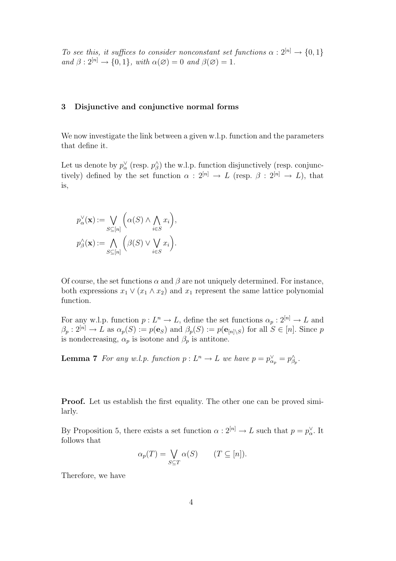To see this, it suffices to consider nonconstant set functions  $\alpha : 2^{[n]} \to \{0,1\}$ and  $\beta: 2^{[n]} \to \{0, 1\}$ , with  $\alpha(\emptyset) = 0$  and  $\beta(\emptyset) = 1$ .

# 3 Disjunctive and conjunctive normal forms

We now investigate the link between a given w.l.p. function and the parameters that define it.

Let us denote by  $p_{\alpha}^{\vee}$  (resp.  $p_{\beta}^{\wedge}$ ) the w.l.p. function disjunctively (resp. conjunctively) defined by the set function  $\alpha$  :  $2^{[n]} \rightarrow L$  (resp.  $\beta$  :  $2^{[n]} \rightarrow L$ ), that is,

$$
p_{\alpha}^{\vee}(\mathbf{x}) := \bigvee_{S \subseteq [n]} \left( \alpha(S) \wedge \bigwedge_{i \in S} x_i \right),
$$
  

$$
p_{\beta}^{\wedge}(\mathbf{x}) := \bigwedge_{S \subseteq [n]} \left( \beta(S) \vee \bigvee_{i \in S} x_i \right).
$$

Of course, the set functions  $\alpha$  and  $\beta$  are not uniquely determined. For instance, both expressions  $x_1 \vee (x_1 \wedge x_2)$  and  $x_1$  represent the same lattice polynomial function.

For any w.l.p. function  $p: L^n \to L$ , define the set functions  $\alpha_p: 2^{[n]} \to L$  and  $\beta_p: 2^{[n]} \to L$  as  $\alpha_p(S) := p(\mathbf{e}_S)$  and  $\beta_p(S) := p(\mathbf{e}_{[n] \setminus S})$  for all  $S \in [n]$ . Since p is nondecreasing,  $\alpha_p$  is isotone and  $\beta_p$  is antitone.

**Lemma 7** For any w.l.p. function  $p: L^n \to L$  we have  $p = p_{\alpha_p}^{\vee} = p_{\beta_p}^{\wedge}$ .

**Proof.** Let us establish the first equality. The other one can be proved similarly.

By Proposition 5, there exists a set function  $\alpha: 2^{[n]} \to L$  such that  $p = p_{\alpha}^{\vee}$ . It follows that

$$
\alpha_p(T) = \bigvee_{S \subseteq T} \alpha(S) \qquad (T \subseteq [n]).
$$

Therefore, we have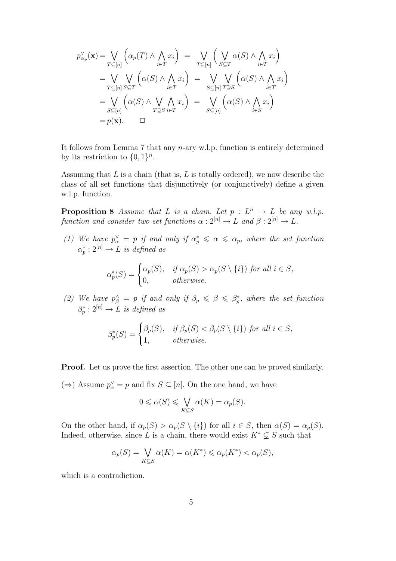$$
p_{\alpha_p}^{\vee}(\mathbf{x}) = \bigvee_{T \subseteq [n]} \left( \alpha_p(T) \land \bigwedge_{i \in T} x_i \right) = \bigvee_{T \subseteq [n]} \left( \bigvee_{S \subseteq T} \alpha(S) \land \bigwedge_{i \in T} x_i \right)
$$
  
\n
$$
= \bigvee_{T \subseteq [n]} \bigvee_{S \subseteq T} \left( \alpha(S) \land \bigwedge_{i \in T} x_i \right) = \bigvee_{S \subseteq [n]} \bigvee_{T \supseteq S} \left( \alpha(S) \land \bigwedge_{i \in T} x_i \right)
$$
  
\n
$$
= \bigvee_{S \subseteq [n]} \left( \alpha(S) \land \bigvee_{T \supseteq S} \bigwedge_{i \in T} x_i \right) = \bigvee_{S \subseteq [n]} \left( \alpha(S) \land \bigwedge_{i \in S} x_i \right)
$$
  
\n
$$
= p(\mathbf{x}). \qquad \Box
$$

It follows from Lemma 7 that any n-ary w.l.p. function is entirely determined by its restriction to  $\{0,1\}^n$ .

Assuming that  $L$  is a chain (that is,  $L$  is totally ordered), we now describe the class of all set functions that disjunctively (or conjunctively) define a given w.l.p. function.

**Proposition 8** Assume that L is a chain. Let  $p: L^n \to L$  be any w.l.p. function and consider two set functions  $\alpha : 2^{[n]} \to L$  and  $\beta : 2^{[n]} \to L$ .

(1) We have  $p_{\alpha}^{\vee} = p$  if and only if  $\alpha_p^* \leq \alpha \leq \alpha_p$ , where the set function  $\alpha_p^*: 2^{[n]} \to L$  is defined as

$$
\alpha_p^*(S) = \begin{cases} \alpha_p(S), & \text{if } \alpha_p(S) > \alpha_p(S \setminus \{i\}) \text{ for all } i \in S, \\ 0, & \text{otherwise.} \end{cases}
$$

(2) We have  $p_{\beta}^{\wedge} = p$  if and only if  $\beta_p \leq \beta \leq \beta_p^*$ , where the set function  $\beta_p^*: 2^{[n]} \to L$  is defined as

$$
\beta_p^*(S) = \begin{cases} \beta_p(S), & \text{if } \beta_p(S) < \beta_p(S \setminus \{i\}) \text{ for all } i \in S, \\ 1, & \text{otherwise.} \end{cases}
$$

Proof. Let us prove the first assertion. The other one can be proved similarly.

(⇒) Assume  $p^{\vee}_{\alpha} = p$  and fix  $S \subseteq [n]$ . On the one hand, we have

$$
0 \leq \alpha(S) \leq \bigvee_{K \subseteq S} \alpha(K) = \alpha_p(S).
$$

On the other hand, if  $\alpha_p(S) > \alpha_p(S \setminus \{i\})$  for all  $i \in S$ , then  $\alpha(S) = \alpha_p(S)$ . Indeed, otherwise, since L is a chain, there would exist  $K^* \subsetneq S$  such that

$$
\alpha_p(S) = \bigvee_{K \subseteq S} \alpha(K) = \alpha(K^*) \leq \alpha_p(K^*) < \alpha_p(S),
$$

which is a contradiction.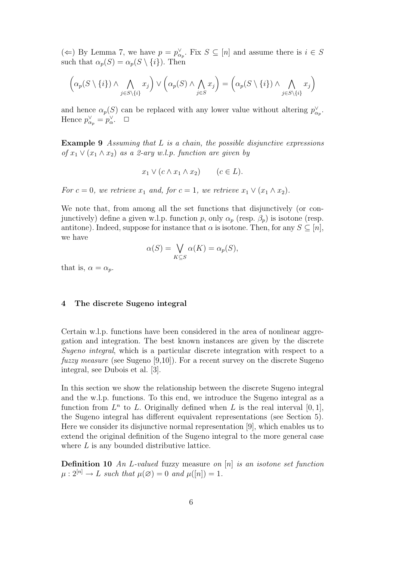(←) By Lemma 7, we have  $p = p_{\alpha_p}^{\vee}$ . Fix  $S \subseteq [n]$  and assume there is  $i \in S$ such that  $\alpha_p(S) = \alpha_p(S \setminus \{i\})$ . Then

$$
\left(\alpha_p(S \setminus \{i\}) \wedge \bigwedge_{j \in S \setminus \{i\}} x_j\right) \vee \left(\alpha_p(S) \wedge \bigwedge_{j \in S} x_j\right) = \left(\alpha_p(S \setminus \{i\}) \wedge \bigwedge_{j \in S \setminus \{i\}} x_j\right)
$$

and hence  $\alpha_p(S)$  can be replaced with any lower value without altering  $p_{\alpha_p}^{\vee}$ . Hence  $p_{\alpha_p}^{\vee} = p_{\alpha}^{\vee}$ .  $\Box$ 

**Example 9** Assuming that  $L$  is a chain, the possible disjunctive expressions of  $x_1 \vee (x_1 \wedge x_2)$  as a 2-ary w.l.p. function are given by

$$
x_1 \vee (c \wedge x_1 \wedge x_2) \qquad (c \in L).
$$

For  $c = 0$ , we retrieve  $x_1$  and, for  $c = 1$ , we retrieve  $x_1 \vee (x_1 \wedge x_2)$ .

We note that, from among all the set functions that disjunctively (or conjunctively) define a given w.l.p. function p, only  $\alpha_p$  (resp.  $\beta_p$ ) is isotone (resp. antitone). Indeed, suppose for instance that  $\alpha$  is isotone. Then, for any  $S \subseteq [n]$ , we have

$$
\alpha(S) = \bigvee_{K \subseteq S} \alpha(K) = \alpha_p(S),
$$

that is,  $\alpha = \alpha_p$ .

### 4 The discrete Sugeno integral

Certain w.l.p. functions have been considered in the area of nonlinear aggregation and integration. The best known instances are given by the discrete Sugeno integral, which is a particular discrete integration with respect to a fuzzy measure (see Sugeno [9,10]). For a recent survey on the discrete Sugeno integral, see Dubois et al. [3].

In this section we show the relationship between the discrete Sugeno integral and the w.l.p. functions. To this end, we introduce the Sugeno integral as a function from  $L^n$  to L. Originally defined when L is the real interval  $[0,1]$ , the Sugeno integral has different equivalent representations (see Section 5). Here we consider its disjunctive normal representation [9], which enables us to extend the original definition of the Sugeno integral to the more general case where L is any bounded distributive lattice.

**Definition 10** An L-valued fuzzy measure on  $[n]$  is an isotone set function  $\mu: 2^{[n]} \to L$  such that  $\mu(\emptyset) = 0$  and  $\mu([n]) = 1$ .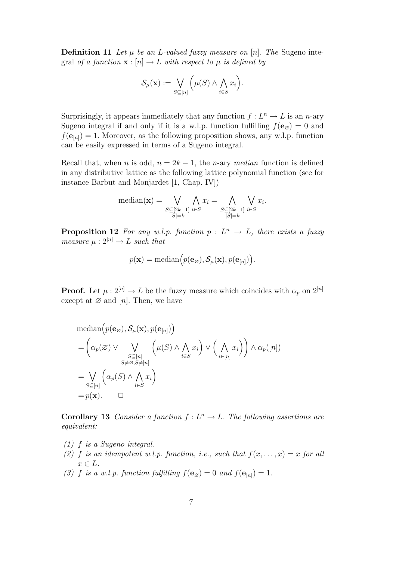**Definition 11** Let  $\mu$  be an L-valued fuzzy measure on  $[n]$ . The Sugeno integral of a function  $\mathbf{x} : [n] \to L$  with respect to  $\mu$  is defined by

$$
\mathcal{S}_{\mu}(\mathbf{x}) := \bigvee_{S \subseteq [n]} \Big( \mu(S) \wedge \bigwedge_{i \in S} x_i \Big).
$$

Surprisingly, it appears immediately that any function  $f: L^n \to L$  is an *n*-ary Sugeno integral if and only if it is a w.l.p. function fulfilling  $f(\mathbf{e}_{\varnothing}) = 0$  and  $f(\mathbf{e}_{[n]}) = 1$ . Moreover, as the following proposition shows, any w.l.p. function can be easily expressed in terms of a Sugeno integral.

Recall that, when n is odd,  $n = 2k - 1$ , the n-ary median function is defined in any distributive lattice as the following lattice polynomial function (see for instance Barbut and Monjardet [1, Chap. IV])

$$
\text{median}(\mathbf{x}) = \bigvee_{\substack{S \subseteq [2k-1] \\ |S|=k}} \bigwedge_{i \in S} x_i = \bigwedge_{\substack{S \subseteq [2k-1] \\ |S|=k}} \bigvee_{i \in S} x_i.
$$

**Proposition 12** For any w.l.p. function  $p: L^n \to L$ , there exists a fuzzy measure  $\mu : 2^{[n]} \to L$  such that

$$
p(\mathbf{x}) = \text{median}\Big(p(\mathbf{e}_{\varnothing}), \mathcal{S}_{\mu}(\mathbf{x}), p(\mathbf{e}_{[n]})\Big).
$$

**Proof.** Let  $\mu: 2^{[n]} \to L$  be the fuzzy measure which coincides with  $\alpha_p$  on  $2^{[n]}$ except at  $\varnothing$  and [n]. Then, we have

$$
\begin{aligned}\n\text{median}\Big(p(\mathbf{e}_{\varnothing}),\mathcal{S}_{\mu}(\mathbf{x}),p(\mathbf{e}_{[n]})\Big) \\
&= \left(\alpha_p(\varnothing) \vee \bigvee_{\substack{S \subseteq [n] \\ S \neq \varnothing, S \neq [n]}} \left(\mu(S) \wedge \bigwedge_{i \in S} x_i\right) \vee \left(\bigwedge_{i \in [n]} x_i\right)\right) \wedge \alpha_p([n]) \\
&= \bigvee_{S \subseteq [n]} \left(\alpha_p(S) \wedge \bigwedge_{i \in S} x_i\right) \\
&= p(\mathbf{x}).\quad \Box\n\end{aligned}
$$

**Corollary 13** Consider a function  $f: L^n \to L$ . The following assertions are equivalent:

- (1) f is a Sugeno integral.
- (2) f is an idempotent w.l.p. function, i.e., such that  $f(x, \ldots, x) = x$  for all  $x \in L$ .
- (3) f is a w.l.p. function fulfilling  $f(\mathbf{e}_{\emptyset}) = 0$  and  $f(\mathbf{e}_{[n]}) = 1$ .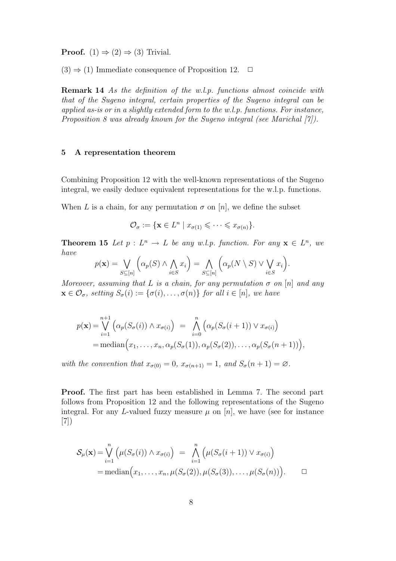**Proof.**  $(1) \Rightarrow (2) \Rightarrow (3)$  Trivial.

 $(3) \Rightarrow (1)$  Immediate consequence of Proposition 12.  $\Box$ 

Remark 14 As the definition of the w.l.p. functions almost coincide with that of the Sugeno integral, certain properties of the Sugeno integral can be applied as-is or in a slightly extended form to the w.l.p. functions. For instance, Proposition 8 was already known for the Sugeno integral (see Marichal [7]).

## 5 A representation theorem

Combining Proposition 12 with the well-known representations of the Sugeno integral, we easily deduce equivalent representations for the w.l.p. functions.

When L is a chain, for any permutation  $\sigma$  on [n], we define the subset

$$
\mathcal{O}_{\sigma} := \{ \mathbf{x} \in L^n \mid x_{\sigma(1)} \leqslant \cdots \leqslant x_{\sigma(n)} \}.
$$

**Theorem 15** Let  $p: L^n \to L$  be any w.l.p. function. For any  $\mathbf{x} \in L^n$ , we have  $\overline{a}$  $\mathbf{r}$  $\overline{a}$  $\mathbf{r}$ 

$$
p(\mathbf{x}) = \bigvee_{S \subseteq [n]} \left( \alpha_p(S) \land \bigwedge_{i \in S} x_i \right) = \bigwedge_{S \subseteq [n]} \left( \alpha_p(N \setminus S) \lor \bigvee_{i \in S} x_i \right).
$$

Moreover, assuming that L is a chain, for any permutation  $\sigma$  on [n] and any  $\mathbf{x} \in \mathcal{O}_{\sigma}$ , setting  $S_{\sigma}(i) := {\sigma(i), \ldots, \sigma(n)}$  for all  $i \in [n]$ , we have

$$
p(\mathbf{x}) = \bigvee_{i=1}^{n+1} \left( \alpha_p(S_{\sigma}(i)) \wedge x_{\sigma(i)} \right) = \bigwedge_{i=0}^n \left( \alpha_p(S_{\sigma}(i+1)) \vee x_{\sigma(i)} \right)
$$
  
= median  $\left( x_1, \ldots, x_n, \alpha_p(S_{\sigma}(1)), \alpha_p(S_{\sigma}(2)), \ldots, \alpha_p(S_{\sigma}(n+1)) \right)$ ,

with the convention that  $x_{\sigma(0)} = 0$ ,  $x_{\sigma(n+1)} = 1$ , and  $S_{\sigma}(n+1) = \emptyset$ .

Proof. The first part has been established in Lemma 7. The second part follows from Proposition 12 and the following representations of the Sugeno integral. For any L-valued fuzzy measure  $\mu$  on [n], we have (see for instance [7])

$$
\mathcal{S}_{\mu}(\mathbf{x}) = \bigvee_{i=1}^{n} \left( \mu(S_{\sigma}(i)) \wedge x_{\sigma(i)} \right) = \bigwedge_{i=1}^{n} \left( \mu(S_{\sigma}(i+1)) \vee x_{\sigma(i)} \right)
$$
  
= median $\left( x_1, \ldots, x_n, \mu(S_{\sigma}(2)), \mu(S_{\sigma}(3)), \ldots, \mu(S_{\sigma}(n)) \right)$ .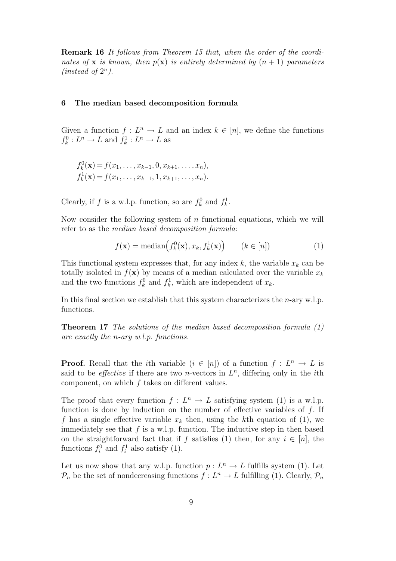Remark 16 It follows from Theorem 15 that, when the order of the coordinates of **x** is known, then  $p(\mathbf{x})$  is entirely determined by  $(n + 1)$  parameters (instead of  $2^n$ ).

### 6 The median based decomposition formula

Given a function  $f: L^n \to L$  and an index  $k \in [n]$ , we define the functions  $f_k^0: L^n \to L$  and  $f_k^1: L^n \to L$  as

$$
f_k^0(\mathbf{x}) = f(x_1, \dots, x_{k-1}, 0, x_{k+1}, \dots, x_n),
$$
  

$$
f_k^1(\mathbf{x}) = f(x_1, \dots, x_{k-1}, 1, x_{k+1}, \dots, x_n).
$$

Clearly, if f is a w.l.p. function, so are  $f_k^0$  and  $f_k^1$ .

Now consider the following system of  $n$  functional equations, which we will refer to as the median based decomposition formula:

$$
f(\mathbf{x}) = \text{median}\big(f_k^0(\mathbf{x}), x_k, f_k^1(\mathbf{x})\big) \qquad (k \in [n])
$$
 (1)

This functional system expresses that, for any index  $k$ , the variable  $x_k$  can be totally isolated in  $f(\mathbf{x})$  by means of a median calculated over the variable  $x_k$ and the two functions  $f_k^0$  and  $f_k^1$ , which are independent of  $x_k$ .

In this final section we establish that this system characterizes the *n*-ary w.l.p. functions.

Theorem 17 The solutions of the median based decomposition formula (1) are exactly the n-ary w.l.p. functions.

**Proof.** Recall that the *i*th variable  $(i \in [n])$  of a function  $f: L^n \to L$  is said to be *effective* if there are two *n*-vectors in  $L<sup>n</sup>$ , differing only in the *i*th component, on which f takes on different values.

The proof that every function  $f: L^n \to L$  satisfying system (1) is a w.l.p. function is done by induction on the number of effective variables of  $f$ . If f has a single effective variable  $x_k$  then, using the kth equation of (1), we immediately see that  $f$  is a w.l.p. function. The inductive step in then based on the straightforward fact that if f satisfies (1) then, for any  $i \in [n]$ , the functions  $f_i^0$  and  $f_i^1$  also satisfy (1).

Let us now show that any w.l.p. function  $p: L^n \to L$  fulfills system (1). Let  $\mathcal{P}_n$  be the set of nondecreasing functions  $f: L^n \to L$  fulfilling (1). Clearly,  $\mathcal{P}_n$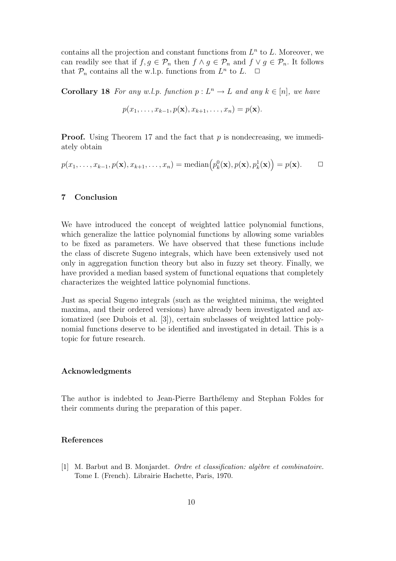contains all the projection and constant functions from  $L<sup>n</sup>$  to L. Moreover, we can readily see that if  $f, g \in \mathcal{P}_n$  then  $f \wedge g \in \mathcal{P}_n$  and  $f \vee g \in \mathcal{P}_n$ . It follows that  $\mathcal{P}_n$  contains all the w.l.p. functions from  $L^n$  to  $L$ .  $\Box$ 

**Corollary 18** For any w.l.p. function  $p: L^n \to L$  and any  $k \in [n]$ , we have

$$
p(x_1,\ldots,x_{k-1},p(\mathbf{x}),x_{k+1},\ldots,x_n)=p(\mathbf{x}).
$$

**Proof.** Using Theorem 17 and the fact that  $p$  is nondecreasing, we immediately obtain

$$
p(x_1, \ldots, x_{k-1}, p(\mathbf{x}), x_{k+1}, \ldots, x_n) = \text{median}\big(p_k^0(\mathbf{x}), p(\mathbf{x}), p_k^1(\mathbf{x})\big) = p(\mathbf{x}). \qquad \Box
$$

# 7 Conclusion

We have introduced the concept of weighted lattice polynomial functions, which generalize the lattice polynomial functions by allowing some variables to be fixed as parameters. We have observed that these functions include the class of discrete Sugeno integrals, which have been extensively used not only in aggregation function theory but also in fuzzy set theory. Finally, we have provided a median based system of functional equations that completely characterizes the weighted lattice polynomial functions.

Just as special Sugeno integrals (such as the weighted minima, the weighted maxima, and their ordered versions) have already been investigated and axiomatized (see Dubois et al. [3]), certain subclasses of weighted lattice polynomial functions deserve to be identified and investigated in detail. This is a topic for future research.

#### Acknowledgments

The author is indebted to Jean-Pierre Barthélemy and Stephan Foldes for their comments during the preparation of this paper.

## References

[1] M. Barbut and B. Monjardet. *Ordre et classification: algèbre et combinatoire.* Tome I. (French). Librairie Hachette, Paris, 1970.